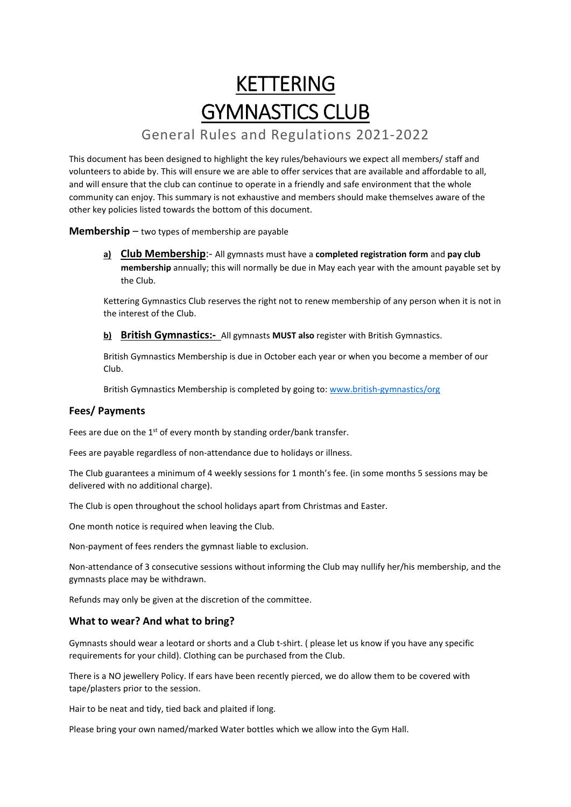# **KETTERING** GYMNASTICS CLUB

# General Rules and Regulations 2021-2022

This document has been designed to highlight the key rules/behaviours we expect all members/ staff and volunteers to abide by. This will ensure we are able to offer services that are available and affordable to all, and will ensure that the club can continue to operate in a friendly and safe environment that the whole community can enjoy. This summary is not exhaustive and members should make themselves aware of the other key policies listed towards the bottom of this document.

**Membership** – two types of membership are payable

**a) Club Membership**:- All gymnasts must have a **completed registration form** and **pay club membership** annually; this will normally be due in May each year with the amount payable set by the Club.

Kettering Gymnastics Club reserves the right not to renew membership of any person when it is not in the interest of the Club.

### **b) British Gymnastics:-** All gymnasts **MUST also** register with British Gymnastics.

British Gymnastics Membership is due in October each year or when you become a member of our Club.

British Gymnastics Membership is completed by going to: www.british-gymnastics/org

# **Fees/ Payments**

Fees are due on the  $1<sup>st</sup>$  of every month by standing order/bank transfer.

Fees are payable regardless of non-attendance due to holidays or illness.

The Club guarantees a minimum of 4 weekly sessions for 1 month's fee. (in some months 5 sessions may be delivered with no additional charge).

The Club is open throughout the school holidays apart from Christmas and Easter.

One month notice is required when leaving the Club.

Non-payment of fees renders the gymnast liable to exclusion.

Non-attendance of 3 consecutive sessions without informing the Club may nullify her/his membership, and the gymnasts place may be withdrawn.

Refunds may only be given at the discretion of the committee.

# **What to wear? And what to bring?**

Gymnasts should wear a leotard or shorts and a Club t-shirt. ( please let us know if you have any specific requirements for your child). Clothing can be purchased from the Club.

There is a NO jewellery Policy. If ears have been recently pierced, we do allow them to be covered with tape/plasters prior to the session.

Hair to be neat and tidy, tied back and plaited if long.

Please bring your own named/marked Water bottles which we allow into the Gym Hall.